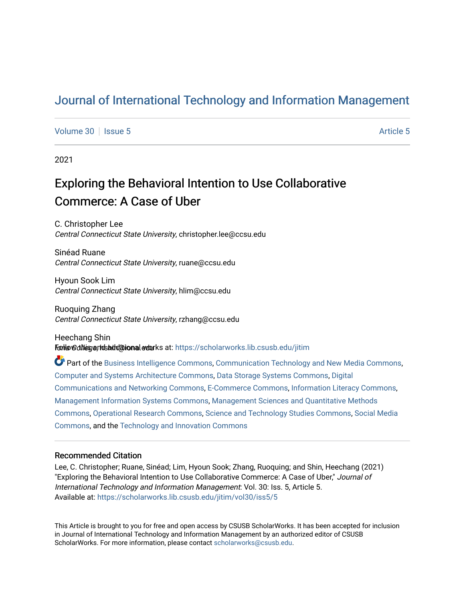## [Journal of International Technology and Information Management](https://scholarworks.lib.csusb.edu/jitim)

[Volume 30](https://scholarworks.lib.csusb.edu/jitim/vol30) | [Issue 5](https://scholarworks.lib.csusb.edu/jitim/vol30/iss5) Article 5

2021

# Exploring the Behavioral Intention to Use Collaborative Commerce: A Case of Uber

C. Christopher Lee Central Connecticut State University, christopher.lee@ccsu.edu

Sinéad Ruane Central Connecticut State University, ruane@ccsu.edu

Hyoun Sook Lim Central Connecticut State University, hlim@ccsu.edu

Ruoquing Zhang Central Connecticut State University, rzhang@ccsu.edu

Heechang Shin Follow this and studitional works at: https://scholarworks.lib.csusb.edu/jitim

Part of the [Business Intelligence Commons,](https://network.bepress.com/hgg/discipline/1326?utm_source=scholarworks.lib.csusb.edu%2Fjitim%2Fvol30%2Fiss5%2F5&utm_medium=PDF&utm_campaign=PDFCoverPages) [Communication Technology and New Media Commons,](https://network.bepress.com/hgg/discipline/327?utm_source=scholarworks.lib.csusb.edu%2Fjitim%2Fvol30%2Fiss5%2F5&utm_medium=PDF&utm_campaign=PDFCoverPages) [Computer and Systems Architecture Commons](https://network.bepress.com/hgg/discipline/259?utm_source=scholarworks.lib.csusb.edu%2Fjitim%2Fvol30%2Fiss5%2F5&utm_medium=PDF&utm_campaign=PDFCoverPages), [Data Storage Systems Commons](https://network.bepress.com/hgg/discipline/261?utm_source=scholarworks.lib.csusb.edu%2Fjitim%2Fvol30%2Fiss5%2F5&utm_medium=PDF&utm_campaign=PDFCoverPages), [Digital](https://network.bepress.com/hgg/discipline/262?utm_source=scholarworks.lib.csusb.edu%2Fjitim%2Fvol30%2Fiss5%2F5&utm_medium=PDF&utm_campaign=PDFCoverPages) [Communications and Networking Commons](https://network.bepress.com/hgg/discipline/262?utm_source=scholarworks.lib.csusb.edu%2Fjitim%2Fvol30%2Fiss5%2F5&utm_medium=PDF&utm_campaign=PDFCoverPages), [E-Commerce Commons](https://network.bepress.com/hgg/discipline/624?utm_source=scholarworks.lib.csusb.edu%2Fjitim%2Fvol30%2Fiss5%2F5&utm_medium=PDF&utm_campaign=PDFCoverPages), [Information Literacy Commons,](https://network.bepress.com/hgg/discipline/1243?utm_source=scholarworks.lib.csusb.edu%2Fjitim%2Fvol30%2Fiss5%2F5&utm_medium=PDF&utm_campaign=PDFCoverPages) [Management Information Systems Commons,](https://network.bepress.com/hgg/discipline/636?utm_source=scholarworks.lib.csusb.edu%2Fjitim%2Fvol30%2Fiss5%2F5&utm_medium=PDF&utm_campaign=PDFCoverPages) [Management Sciences and Quantitative Methods](https://network.bepress.com/hgg/discipline/637?utm_source=scholarworks.lib.csusb.edu%2Fjitim%2Fvol30%2Fiss5%2F5&utm_medium=PDF&utm_campaign=PDFCoverPages) [Commons](https://network.bepress.com/hgg/discipline/637?utm_source=scholarworks.lib.csusb.edu%2Fjitim%2Fvol30%2Fiss5%2F5&utm_medium=PDF&utm_campaign=PDFCoverPages), [Operational Research Commons](https://network.bepress.com/hgg/discipline/308?utm_source=scholarworks.lib.csusb.edu%2Fjitim%2Fvol30%2Fiss5%2F5&utm_medium=PDF&utm_campaign=PDFCoverPages), [Science and Technology Studies Commons,](https://network.bepress.com/hgg/discipline/435?utm_source=scholarworks.lib.csusb.edu%2Fjitim%2Fvol30%2Fiss5%2F5&utm_medium=PDF&utm_campaign=PDFCoverPages) [Social Media](https://network.bepress.com/hgg/discipline/1249?utm_source=scholarworks.lib.csusb.edu%2Fjitim%2Fvol30%2Fiss5%2F5&utm_medium=PDF&utm_campaign=PDFCoverPages) [Commons](https://network.bepress.com/hgg/discipline/1249?utm_source=scholarworks.lib.csusb.edu%2Fjitim%2Fvol30%2Fiss5%2F5&utm_medium=PDF&utm_campaign=PDFCoverPages), and the [Technology and Innovation Commons](https://network.bepress.com/hgg/discipline/644?utm_source=scholarworks.lib.csusb.edu%2Fjitim%2Fvol30%2Fiss5%2F5&utm_medium=PDF&utm_campaign=PDFCoverPages) 

#### Recommended Citation

Lee, C. Christopher; Ruane, Sinéad; Lim, Hyoun Sook; Zhang, Ruoquing; and Shin, Heechang (2021) "Exploring the Behavioral Intention to Use Collaborative Commerce: A Case of Uber," Journal of International Technology and Information Management: Vol. 30: Iss. 5, Article 5. Available at: [https://scholarworks.lib.csusb.edu/jitim/vol30/iss5/5](https://scholarworks.lib.csusb.edu/jitim/vol30/iss5/5?utm_source=scholarworks.lib.csusb.edu%2Fjitim%2Fvol30%2Fiss5%2F5&utm_medium=PDF&utm_campaign=PDFCoverPages) 

This Article is brought to you for free and open access by CSUSB ScholarWorks. It has been accepted for inclusion in Journal of International Technology and Information Management by an authorized editor of CSUSB ScholarWorks. For more information, please contact [scholarworks@csusb.edu.](mailto:scholarworks@csusb.edu)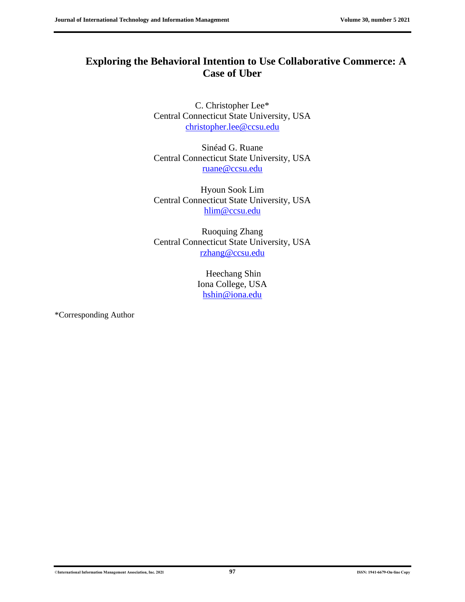## **Exploring the Behavioral Intention to Use Collaborative Commerce: A Case of Uber**

C. Christopher Lee\* Central Connecticut State University, USA [christopher.lee@ccsu.edu](mailto:christopher.lee@ccsu.edu)

Sinéad G. Ruane Central Connecticut State University, USA [ruane@ccsu.edu](mailto:ruane@ccsu.edu)

Hyoun Sook Lim Central Connecticut State University, USA [hlim@ccsu.edu](mailto:hlim@ccsu.edu)

Ruoquing Zhang Central Connecticut State University, USA [rzhang@ccsu.edu](mailto:rzhang@ccsu.edu)

> Heechang Shin Iona College, USA [hshin@iona.edu](mailto:hshin@iona.edu)

\*Corresponding Author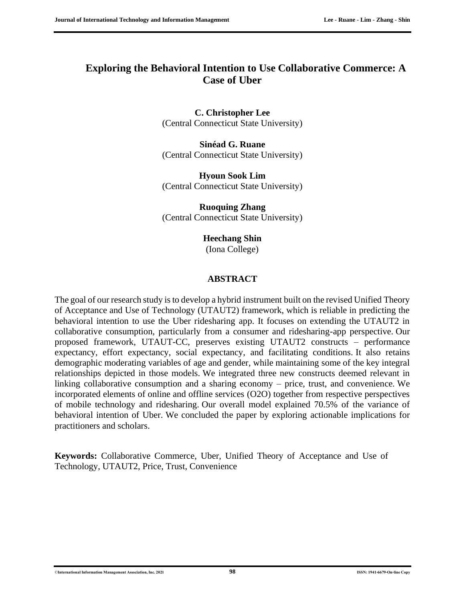### **Exploring the Behavioral Intention to Use Collaborative Commerce: A Case of Uber**

**C. Christopher Lee** (Central Connecticut State University)

**Sinéad G. Ruane** (Central Connecticut State University)

**Hyoun Sook Lim** (Central Connecticut State University)

**Ruoquing Zhang** (Central Connecticut State University)

> **Heechang Shin** (Iona College)

#### **ABSTRACT**

The goal of our research study is to develop a hybrid instrument built on the revised Unified Theory of Acceptance and Use of Technology (UTAUT2) framework, which is reliable in predicting the behavioral intention to use the Uber ridesharing app. It focuses on extending the UTAUT2 in collaborative consumption, particularly from a consumer and ridesharing-app perspective. Our proposed framework, UTAUT-CC, preserves existing UTAUT2 constructs – performance expectancy, effort expectancy, social expectancy, and facilitating conditions. It also retains demographic moderating variables of age and gender, while maintaining some of the key integral relationships depicted in those models. We integrated three new constructs deemed relevant in linking collaborative consumption and a sharing economy – price, trust, and convenience. We incorporated elements of online and offline services (O2O) together from respective perspectives of mobile technology and ridesharing. Our overall model explained 70.5% of the variance of behavioral intention of Uber. We concluded the paper by exploring actionable implications for practitioners and scholars.

**Keywords:** Collaborative Commerce, Uber, Unified Theory of Acceptance and Use of Technology, UTAUT2, Price, Trust, Convenience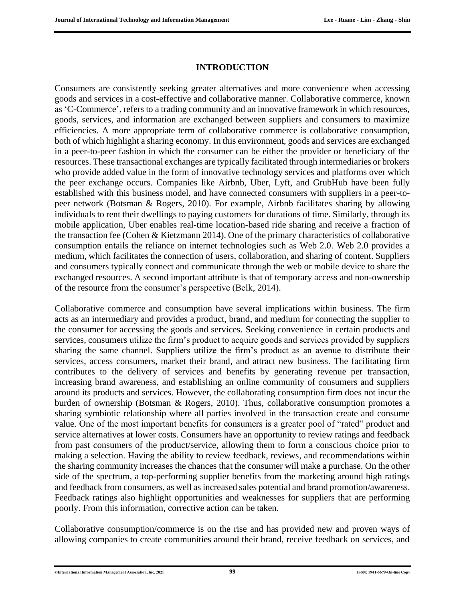#### **INTRODUCTION**

Consumers are consistently seeking greater alternatives and more convenience when accessing goods and services in a cost-effective and collaborative manner. Collaborative commerce, known as 'C-Commerce', refers to a trading community and an innovative framework in which resources, goods, services, and information are exchanged between suppliers and consumers to maximize efficiencies. A more appropriate term of collaborative commerce is collaborative consumption, both of which highlight a sharing economy. In this environment, goods and services are exchanged in a peer-to-peer fashion in which the consumer can be either the provider or beneficiary of the resources. These transactional exchanges are typically facilitated through intermediaries or brokers who provide added value in the form of innovative technology services and platforms over which the peer exchange occurs. Companies like Airbnb, Uber, Lyft, and GrubHub have been fully established with this business model, and have connected consumers with suppliers in a peer-topeer network (Botsman & Rogers, 2010). For example, Airbnb facilitates sharing by allowing individuals to rent their dwellings to paying customers for durations of time. Similarly, through its mobile application, Uber enables real-time location-based ride sharing and receive a fraction of the transaction fee (Cohen & Kietzmann 2014). One of the primary characteristics of collaborative consumption entails the reliance on internet technologies such as Web 2.0. Web 2.0 provides a medium, which facilitates the connection of users, collaboration, and sharing of content. Suppliers and consumers typically connect and communicate through the web or mobile device to share the exchanged resources. A second important attribute is that of temporary access and non-ownership of the resource from the consumer's perspective (Belk, 2014).

Collaborative commerce and consumption have several implications within business. The firm acts as an intermediary and provides a product, brand, and medium for connecting the supplier to the consumer for accessing the goods and services. Seeking convenience in certain products and services, consumers utilize the firm's product to acquire goods and services provided by suppliers sharing the same channel. Suppliers utilize the firm's product as an avenue to distribute their services, access consumers, market their brand, and attract new business. The facilitating firm contributes to the delivery of services and benefits by generating revenue per transaction, increasing brand awareness, and establishing an online community of consumers and suppliers around its products and services. However, the collaborating consumption firm does not incur the burden of ownership (Botsman & Rogers, 2010). Thus, collaborative consumption promotes a sharing symbiotic relationship where all parties involved in the transaction create and consume value. One of the most important benefits for consumers is a greater pool of "rated" product and service alternatives at lower costs. Consumers have an opportunity to review ratings and feedback from past consumers of the product/service, allowing them to form a conscious choice prior to making a selection. Having the ability to review feedback, reviews, and recommendations within the sharing community increases the chances that the consumer will make a purchase. On the other side of the spectrum, a top-performing supplier benefits from the marketing around high ratings and feedback from consumers, as well as increased sales potential and brand promotion/awareness. Feedback ratings also highlight opportunities and weaknesses for suppliers that are performing poorly. From this information, corrective action can be taken.

Collaborative consumption/commerce is on the rise and has provided new and proven ways of allowing companies to create communities around their brand, receive feedback on services, and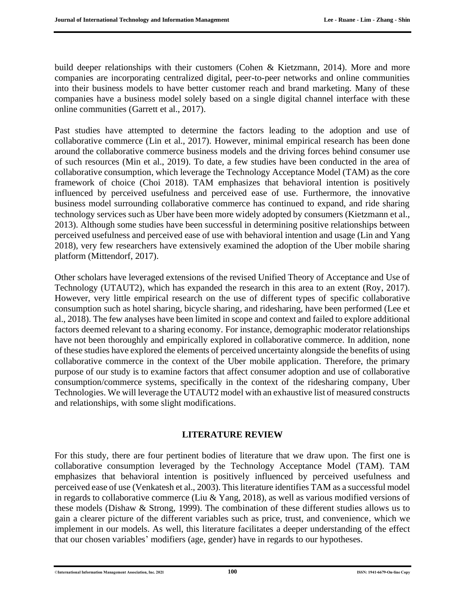build deeper relationships with their customers (Cohen & Kietzmann, 2014). More and more companies are incorporating centralized digital, peer-to-peer networks and online communities into their business models to have better customer reach and brand marketing. Many of these companies have a business model solely based on a single digital channel interface with these online communities (Garrett et al., 2017).

Past studies have attempted to determine the factors leading to the adoption and use of collaborative commerce (Lin et al., 2017). However, minimal empirical research has been done around the collaborative commerce business models and the driving forces behind consumer use of such resources (Min et al., 2019). To date, a few studies have been conducted in the area of collaborative consumption, which leverage the Technology Acceptance Model (TAM) as the core framework of choice (Choi 2018). TAM emphasizes that behavioral intention is positively influenced by perceived usefulness and perceived ease of use. Furthermore, the innovative business model surrounding collaborative commerce has continued to expand, and ride sharing technology services such as Uber have been more widely adopted by consumers (Kietzmann et al., 2013). Although some studies have been successful in determining positive relationships between perceived usefulness and perceived ease of use with behavioral intention and usage (Lin and Yang 2018), very few researchers have extensively examined the adoption of the Uber mobile sharing platform (Mittendorf, 2017).

Other scholars have leveraged extensions of the revised Unified Theory of Acceptance and Use of Technology (UTAUT2), which has expanded the research in this area to an extent (Roy, 2017). However, very little empirical research on the use of different types of specific collaborative consumption such as hotel sharing, bicycle sharing, and ridesharing, have been performed (Lee et al., 2018). The few analyses have been limited in scope and context and failed to explore additional factors deemed relevant to a sharing economy. For instance, demographic moderator relationships have not been thoroughly and empirically explored in collaborative commerce. In addition, none of these studies have explored the elements of perceived uncertainty alongside the benefits of using collaborative commerce in the context of the Uber mobile application. Therefore, the primary purpose of our study is to examine factors that affect consumer adoption and use of collaborative consumption/commerce systems, specifically in the context of the ridesharing company, Uber Technologies. We will leverage the UTAUT2 model with an exhaustive list of measured constructs and relationships, with some slight modifications.

#### **LITERATURE REVIEW**

For this study, there are four pertinent bodies of literature that we draw upon. The first one is collaborative consumption leveraged by the Technology Acceptance Model (TAM). TAM emphasizes that behavioral intention is positively influenced by perceived usefulness and perceived ease of use (Venkatesh et al., 2003). This literature identifies TAM as a successful model in regards to collaborative commerce (Liu & Yang, 2018), as well as various modified versions of these models (Dishaw & Strong, 1999). The combination of these different studies allows us to gain a clearer picture of the different variables such as price, trust, and convenience, which we implement in our models. As well, this literature facilitates a deeper understanding of the effect that our chosen variables' modifiers (age, gender) have in regards to our hypotheses.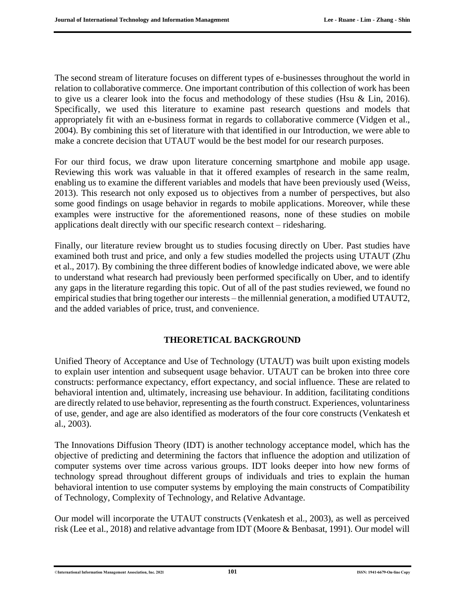The second stream of literature focuses on different types of e-businesses throughout the world in relation to collaborative commerce. One important contribution of this collection of work has been to give us a clearer look into the focus and methodology of these studies (Hsu & Lin, 2016). Specifically, we used this literature to examine past research questions and models that appropriately fit with an e-business format in regards to collaborative commerce (Vidgen et al., 2004). By combining this set of literature with that identified in our Introduction, we were able to make a concrete decision that UTAUT would be the best model for our research purposes.

For our third focus, we draw upon literature concerning smartphone and mobile app usage. Reviewing this work was valuable in that it offered examples of research in the same realm, enabling us to examine the different variables and models that have been previously used (Weiss, 2013). This research not only exposed us to objectives from a number of perspectives, but also some good findings on usage behavior in regards to mobile applications. Moreover, while these examples were instructive for the aforementioned reasons, none of these studies on mobile applications dealt directly with our specific research context – ridesharing.

Finally, our literature review brought us to studies focusing directly on Uber. Past studies have examined both trust and price, and only a few studies modelled the projects using UTAUT (Zhu et al., 2017). By combining the three different bodies of knowledge indicated above, we were able to understand what research had previously been performed specifically on Uber, and to identify any gaps in the literature regarding this topic. Out of all of the past studies reviewed, we found no empirical studies that bring together our interests – the millennial generation, a modified UTAUT2, and the added variables of price, trust, and convenience.

#### **THEORETICAL BACKGROUND**

Unified Theory of Acceptance and Use of Technology (UTAUT) was built upon existing models to explain user intention and subsequent usage behavior. UTAUT can be broken into three core constructs: performance expectancy, effort expectancy, and social influence. These are related to behavioral intention and, ultimately, increasing use behaviour. In addition, facilitating conditions are directly related to use behavior, representing as the fourth construct. Experiences, voluntariness of use, gender, and age are also identified as moderators of the four core constructs (Venkatesh et al., 2003).

The Innovations Diffusion Theory (IDT) is another technology acceptance model, which has the objective of predicting and determining the factors that influence the adoption and utilization of computer systems over time across various groups. IDT looks deeper into how new forms of technology spread throughout different groups of individuals and tries to explain the human behavioral intention to use computer systems by employing the main constructs of Compatibility of Technology, Complexity of Technology, and Relative Advantage.

Our model will incorporate the UTAUT constructs (Venkatesh et al., 2003), as well as perceived risk (Lee et al., 2018) and relative advantage from IDT (Moore & Benbasat, 1991). Our model will

©**International Information Management Association, Inc. 2021 101 ISSN: 1941-6679-On-line Copy**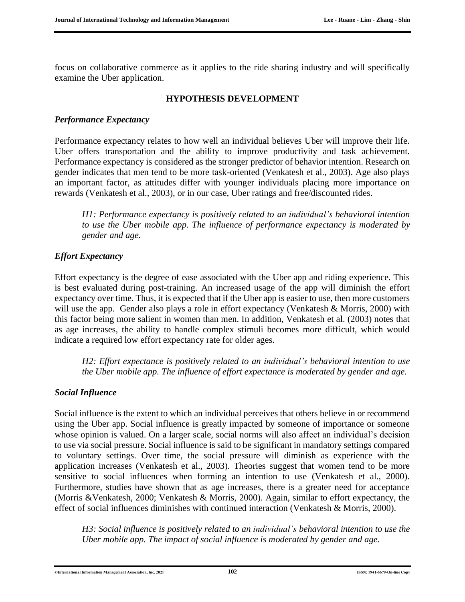focus on collaborative commerce as it applies to the ride sharing industry and will specifically examine the Uber application.

#### **HYPOTHESIS DEVELOPMENT**

#### *Performance Expectancy*

Performance expectancy relates to how well an individual believes Uber will improve their life. Uber offers transportation and the ability to improve productivity and task achievement. Performance expectancy is considered as the stronger predictor of behavior intention. Research on gender indicates that men tend to be more task-oriented (Venkatesh et al., 2003). Age also plays an important factor, as attitudes differ with younger individuals placing more importance on rewards (Venkatesh et al., 2003), or in our case, Uber ratings and free/discounted rides.

*H1: Performance expectancy is positively related to an individual's behavioral intention to use the Uber mobile app. The influence of performance expectancy is moderated by gender and age.*

#### *Effort Expectancy*

Effort expectancy is the degree of ease associated with the Uber app and riding experience. This is best evaluated during post-training. An increased usage of the app will diminish the effort expectancy over time. Thus, it is expected that if the Uber app is easier to use, then more customers will use the app. Gender also plays a role in effort expectancy (Venkatesh & Morris, 2000) with this factor being more salient in women than men. In addition, Venkatesh et al. (2003) notes that as age increases, the ability to handle complex stimuli becomes more difficult, which would indicate a required low effort expectancy rate for older ages.

*H2: Effort expectance is positively related to an individual's behavioral intention to use the Uber mobile app. The influence of effort expectance is moderated by gender and age.*

#### *Social Influence*

Social influence is the extent to which an individual perceives that others believe in or recommend using the Uber app. Social influence is greatly impacted by someone of importance or someone whose opinion is valued. On a larger scale, social norms will also affect an individual's decision to use via social pressure. Social influence is said to be significant in mandatory settings compared to voluntary settings. Over time, the social pressure will diminish as experience with the application increases (Venkatesh et al., 2003). Theories suggest that women tend to be more sensitive to social influences when forming an intention to use (Venkatesh et al., 2000). Furthermore, studies have shown that as age increases, there is a greater need for acceptance (Morris &Venkatesh, 2000; Venkatesh & Morris, 2000). Again, similar to effort expectancy, the effect of social influences diminishes with continued interaction (Venkatesh & Morris, 2000).

*H3: Social influence is positively related to an individual's behavioral intention to use the Uber mobile app. The impact of social influence is moderated by gender and age.*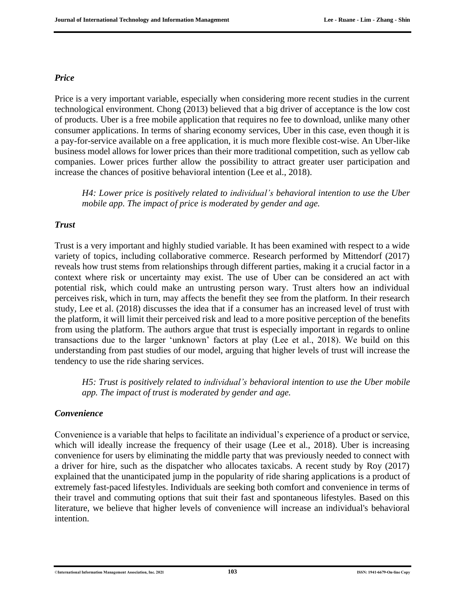#### *Price*

Price is a very important variable, especially when considering more recent studies in the current technological environment. Chong (2013) believed that a big driver of acceptance is the low cost of products. Uber is a free mobile application that requires no fee to download, unlike many other consumer applications. In terms of sharing economy services, Uber in this case, even though it is a pay-for-service available on a free application, it is much more flexible cost-wise. An Uber-like business model allows for lower prices than their more traditional competition, such as yellow cab companies. Lower prices further allow the possibility to attract greater user participation and increase the chances of positive behavioral intention (Lee et al., 2018).

*H4: Lower price is positively related to individual's behavioral intention to use the Uber mobile app. The impact of price is moderated by gender and age.*

#### *Trust*

Trust is a very important and highly studied variable. It has been examined with respect to a wide variety of topics, including collaborative commerce. Research performed by Mittendorf (2017) reveals how trust stems from relationships through different parties, making it a crucial factor in a context where risk or uncertainty may exist. The use of Uber can be considered an act with potential risk, which could make an untrusting person wary. Trust alters how an individual perceives risk, which in turn, may affects the benefit they see from the platform. In their research study, Lee et al. (2018) discusses the idea that if a consumer has an increased level of trust with the platform, it will limit their perceived risk and lead to a more positive perception of the benefits from using the platform. The authors argue that trust is especially important in regards to online transactions due to the larger 'unknown' factors at play (Lee et al., 2018). We build on this understanding from past studies of our model, arguing that higher levels of trust will increase the tendency to use the ride sharing services.

*H5: Trust is positively related to individual's behavioral intention to use the Uber mobile app. The impact of trust is moderated by gender and age.*

#### *Convenience*

Convenience is a variable that helps to facilitate an individual's experience of a product or service, which will ideally increase the frequency of their usage (Lee et al., 2018). Uber is increasing convenience for users by eliminating the middle party that was previously needed to connect with a driver for hire, such as the dispatcher who allocates taxicabs. A recent study by Roy (2017) explained that the unanticipated jump in the popularity of ride sharing applications is a product of extremely fast-paced lifestyles. Individuals are seeking both comfort and convenience in terms of their travel and commuting options that suit their fast and spontaneous lifestyles. Based on this literature, we believe that higher levels of convenience will increase an individual's behavioral intention.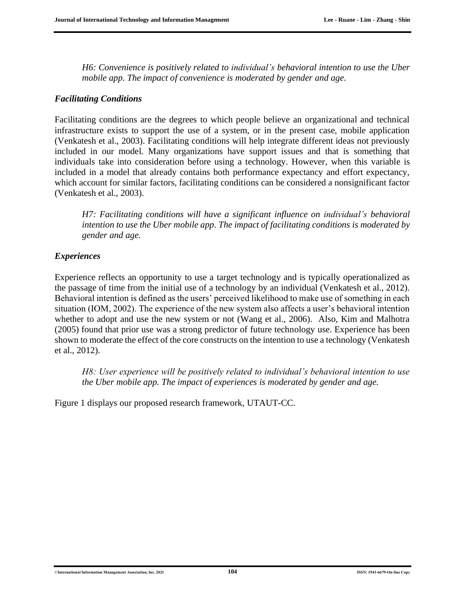*H6: Convenience is positively related to individual's behavioral intention to use the Uber mobile app. The impact of convenience is moderated by gender and age.*

#### *Facilitating Conditions*

Facilitating conditions are the degrees to which people believe an organizational and technical infrastructure exists to support the use of a system, or in the present case, mobile application (Venkatesh et al., 2003). Facilitating conditions will help integrate different ideas not previously included in our model. Many organizations have support issues and that is something that individuals take into consideration before using a technology. However, when this variable is included in a model that already contains both performance expectancy and effort expectancy, which account for similar factors, facilitating conditions can be considered a nonsignificant factor (Venkatesh et al., 2003).

*H7: Facilitating conditions will have a significant influence on individual's behavioral intention to use the Uber mobile app. The impact of facilitating conditions is moderated by gender and age.*

#### *Experiences*

Experience reflects an opportunity to use a target technology and is typically operationalized as the passage of time from the initial use of a technology by an individual (Venkatesh et al., 2012). Behavioral intention is defined as the users' perceived likelihood to make use of something in each situation (IOM, 2002). The experience of the new system also affects a user's behavioral intention whether to adopt and use the new system or not (Wang et al., 2006). Also, Kim and Malhotra (2005) found that prior use was a strong predictor of future technology use. Experience has been shown to moderate the effect of the core constructs on the intention to use a technology (Venkatesh et al., 2012).

*H8: User experience will be positively related to individual's behavioral intention to use the Uber mobile app. The impact of experiences is moderated by gender and age.*

Figure 1 displays our proposed research framework, UTAUT-CC.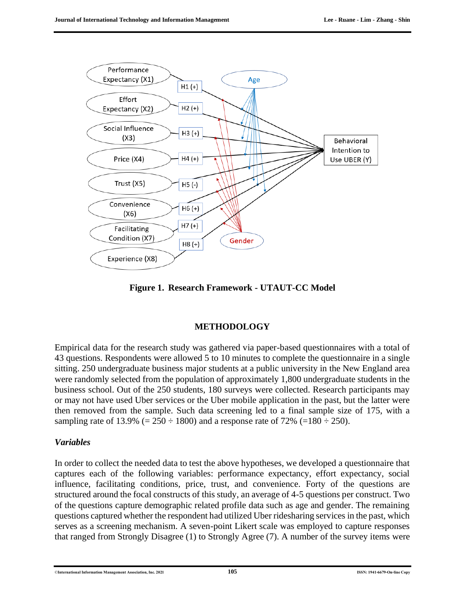

**Figure 1. Research Framework - UTAUT-CC Model**

#### **METHODOLOGY**

Empirical data for the research study was gathered via paper-based questionnaires with a total of 43 questions. Respondents were allowed 5 to 10 minutes to complete the questionnaire in a single sitting. 250 undergraduate business major students at a public university in the New England area were randomly selected from the population of approximately 1,800 undergraduate students in the business school. Out of the 250 students, 180 surveys were collected. Research participants may or may not have used Uber services or the Uber mobile application in the past, but the latter were then removed from the sample. Such data screening led to a final sample size of 175, with a sampling rate of 13.9% (=  $250 \div 1800$ ) and a response rate of 72% (=180  $\div 250$ ).

#### *Variables*

In order to collect the needed data to test the above hypotheses, we developed a questionnaire that captures each of the following variables: performance expectancy, effort expectancy, social influence, facilitating conditions, price, trust, and convenience. Forty of the questions are structured around the focal constructs of this study, an average of 4-5 questions per construct. Two of the questions capture demographic related profile data such as age and gender. The remaining questions captured whether the respondent had utilized Uber ridesharing services in the past, which serves as a screening mechanism. A seven-point Likert scale was employed to capture responses that ranged from Strongly Disagree (1) to Strongly Agree (7). A number of the survey items were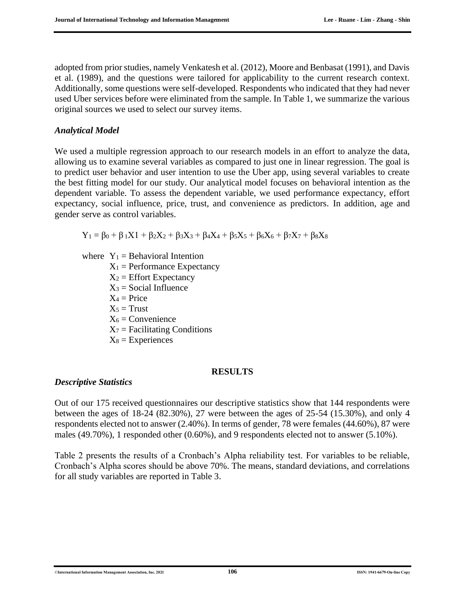adopted from prior studies, namely Venkatesh et al. (2012), Moore and Benbasat (1991), and Davis et al. (1989), and the questions were tailored for applicability to the current research context. Additionally, some questions were self-developed. Respondents who indicated that they had never used Uber services before were eliminated from the sample. In Table 1, we summarize the various original sources we used to select our survey items.

#### *Analytical Model*

We used a multiple regression approach to our research models in an effort to analyze the data, allowing us to examine several variables as compared to just one in linear regression. The goal is to predict user behavior and user intention to use the Uber app, using several variables to create the best fitting model for our study. Our analytical model focuses on behavioral intention as the dependent variable. To assess the dependent variable, we used performance expectancy, effort expectancy, social influence, price, trust, and convenience as predictors. In addition, age and gender serve as control variables.

 $Y_1 = \beta_0 + \beta_1 X_1 + \beta_2 X_2 + \beta_3 X_3 + \beta_4 X_4 + \beta_5 X_5 + \beta_6 X_6 + \beta_7 X_7 + \beta_8 X_8$ 

where  $Y_1$  = Behavioral Intention

- $X_1$  = Performance Expectancy
- $X_2$  = Effort Expectancy
- $X_3$  = Social Influence
- $X_4$  = Price
- $X_5$  = Trust
- $X_6$  = Convenience
- $X_7$  = Facilitating Conditions
- $X_8$  = Experiences

#### **RESULTS**

#### *Descriptive Statistics*

Out of our 175 received questionnaires our descriptive statistics show that 144 respondents were between the ages of 18-24 (82.30%), 27 were between the ages of 25-54 (15.30%), and only 4 respondents elected not to answer (2.40%). In terms of gender, 78 were females (44.60%), 87 were males (49.70%), 1 responded other (0.60%), and 9 respondents elected not to answer (5.10%).

Table 2 presents the results of a Cronbach's Alpha reliability test. For variables to be reliable, Cronbach's Alpha scores should be above 70%. The means, standard deviations, and correlations for all study variables are reported in Table 3.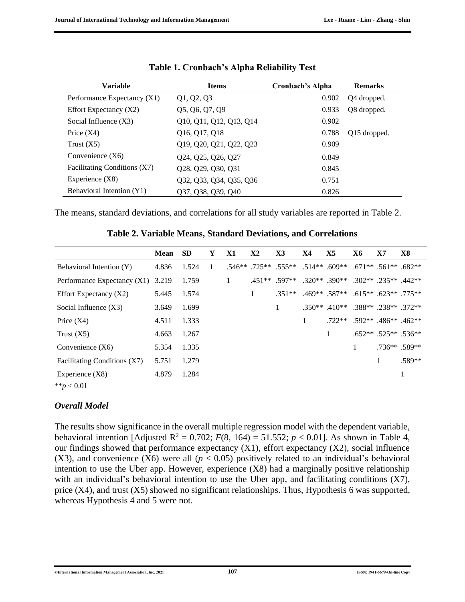| <b>Variable</b>              | <b>Items</b>            | Cronbach's Alpha | <b>Remarks</b> |
|------------------------------|-------------------------|------------------|----------------|
| Performance Expectancy (X1)  | Q1, Q2, Q3              | 0.902            | Q4 dropped.    |
| Effort Expectancy $(X2)$     | Q5, Q6, Q7, Q9          | 0.933            | Q8 dropped.    |
| Social Influence $(X3)$      | Q10, Q11, Q12, Q13, Q14 | 0.902            |                |
| Price $(X4)$                 | Q16, Q17, Q18           | 0.788            | Q15 dropped.   |
| Trust $(X5)$                 | Q19, Q20, Q21, Q22, Q23 | 0.909            |                |
| Convenience $(X6)$           | Q24, Q25, Q26, Q27      | 0.849            |                |
| Facilitating Conditions (X7) | Q28, Q29, Q30, Q31      | 0.845            |                |
| Experience $(X8)$            | Q32, Q33, Q34, Q35, Q36 | 0.751            |                |
| Behavioral Intention (Y1)    | Q37, Q38, Q39, Q40      | 0.826            |                |

| Table 1. Cronbach's Alpha Reliability Test |  |  |
|--------------------------------------------|--|--|
|                                            |  |  |

The means, standard deviations, and correlations for all study variables are reported in Table 2.

|                                   | <b>Mean</b> | <b>SD</b> | Y | X1 | X <sub>2</sub> | $\mathbf{X}$ 3                       | X4 | X5                                           | Х6                                  | X7 | X8                         |
|-----------------------------------|-------------|-----------|---|----|----------------|--------------------------------------|----|----------------------------------------------|-------------------------------------|----|----------------------------|
| Behavioral Intention (Y)          | 4.836       | 1.524     |   |    |                | $.546**$ .725** .555** .514** .609** |    |                                              | $.671**$ .561** .682**              |    |                            |
| Performance Expectancy (X1) 3.219 |             | 1.759     |   |    |                | $.451**$ .597**                      |    | $.320**$ $.390**$ $.302**$ $.235**$ $.442**$ |                                     |    |                            |
| Effort Expectancy $(X2)$          | 5.445       | 1.574     |   |    | 1              | $.351**$                             |    | $.469**$ .587** .615** .623** .775**         |                                     |    |                            |
| Social Influence $(X3)$           | 3.649       | 1.699     |   |    |                |                                      |    | $.350**$ $.410**$ $.388**$ $.238**$ $.372**$ |                                     |    |                            |
| Price $(X4)$                      | 4.511       | 1.333     |   |    |                |                                      | 1  |                                              | $.722**$ $.592**$ $.486**$ $.462**$ |    |                            |
| Trust $(X5)$                      | 4.663       | 1.267     |   |    |                |                                      |    |                                              |                                     |    | $.652**$ $.525**$ $.536**$ |
| Convenience $(X6)$                | 5.354       | 1.335     |   |    |                |                                      |    |                                              | 1                                   |    | $.736**$ .589**            |
| Facilitating Conditions (X7)      | 5.751       | 1.279     |   |    |                |                                      |    |                                              |                                     | 1  | .589**                     |
| Experience $(X8)$                 | 4.879       | 1.284     |   |    |                |                                      |    |                                              |                                     |    |                            |

**Table 2. Variable Means, Standard Deviations, and Correlations**

\*\**p* < 0.01

### *Overall Model*

The results show significance in the overall multiple regression model with the dependent variable, behavioral intention [Adjusted  $R^2 = 0.702$ ;  $F(8, 164) = 51.552$ ;  $p < 0.01$ ]. As shown in Table 4, our findings showed that performance expectancy (X1), effort expectancy (X2), social influence (X3), and convenience (X6) were all ( $p < 0.05$ ) positively related to an individual's behavioral intention to use the Uber app. However, experience (X8) had a marginally positive relationship with an individual's behavioral intention to use the Uber app, and facilitating conditions (X7), price  $(X4)$ , and trust  $(X5)$  showed no significant relationships. Thus, Hypothesis 6 was supported, whereas Hypothesis 4 and 5 were not.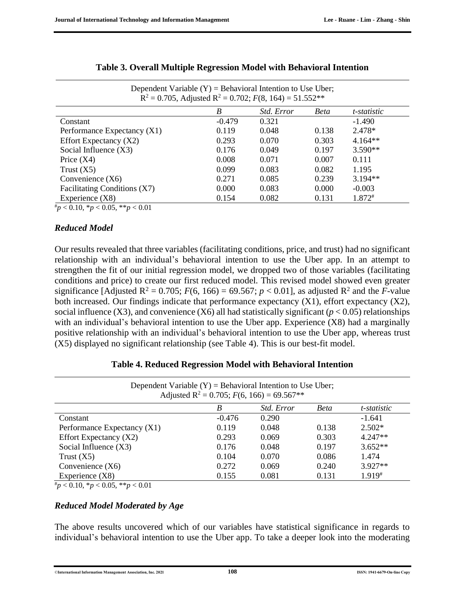| $R^2 = 0.705$ , Adjusted $R^2 = 0.702$ ; $F(8, 164) = 51.552**$ |                   |             |             |  |  |
|-----------------------------------------------------------------|-------------------|-------------|-------------|--|--|
| B                                                               | <i>Std. Error</i> | <b>Beta</b> | t-statistic |  |  |
| $-0.479$                                                        | 0.321             |             | $-1.490$    |  |  |
| 0.119                                                           | 0.048             | 0.138       | $2.478*$    |  |  |
| 0.293                                                           | 0.070             | 0.303       | $4.164**$   |  |  |
| 0.176                                                           | 0.049             | 0.197       | $3.590**$   |  |  |
| 0.008                                                           | 0.071             | 0.007       | 0.111       |  |  |
| 0.099                                                           | 0.083             | 0.082       | 1.195       |  |  |
| 0.271                                                           | 0.085             | 0.239       | $3.194**$   |  |  |
| 0.000                                                           | 0.083             | 0.000       | $-0.003$    |  |  |
| 0.154                                                           | 0.082             | 0.131       | $1.872^{*}$ |  |  |
|                                                                 |                   |             |             |  |  |

| Table 3. Overall Multiple Regression Model with Behavioral Intention |  |  |
|----------------------------------------------------------------------|--|--|
|                                                                      |  |  |

Dependent Variable  $(Y)$  = Behavioral Intention to Use Uber;

#*p* < 0.10, \**p* < 0.05, \*\**p* < 0.01

#### *Reduced Model*

Our results revealed that three variables (facilitating conditions, price, and trust) had no significant relationship with an individual's behavioral intention to use the Uber app. In an attempt to strengthen the fit of our initial regression model, we dropped two of those variables (facilitating conditions and price) to create our first reduced model. This revised model showed even greater significance [Adjusted R<sup>2</sup> = 0.705;  $F(6, 166) = 69.567$ ;  $p < 0.01$ ], as adjusted R<sup>2</sup> and the *F*-value both increased. Our findings indicate that performance expectancy (X1), effort expectancy (X2), social influence (X3), and convenience (X6) all had statistically significant ( $p < 0.05$ ) relationships with an individual's behavioral intention to use the Uber app. Experience (X8) had a marginally positive relationship with an individual's behavioral intention to use the Uber app, whereas trust (X5) displayed no significant relationship (see Table 4). This is our best-fit model.

| Dependent Variable $(Y)$ = Behavioral Intention to Use Uber;<br>Adjusted R <sup>2</sup> = 0.705; $F(6, 166) = 69.567**$ |          |            |             |             |  |  |
|-------------------------------------------------------------------------------------------------------------------------|----------|------------|-------------|-------------|--|--|
|                                                                                                                         | B        | Std. Error | <b>Beta</b> | t-statistic |  |  |
| Constant                                                                                                                | $-0.476$ | 0.290      |             | $-1.641$    |  |  |
| Performance Expectancy (X1)                                                                                             | 0.119    | 0.048      | 0.138       | $2.502*$    |  |  |
| Effort Expectancy $(X2)$                                                                                                | 0.293    | 0.069      | 0.303       | $4.247**$   |  |  |
| Social Influence $(X3)$                                                                                                 | 0.176    | 0.048      | 0.197       | $3.652**$   |  |  |
| Trust $(X5)$                                                                                                            | 0.104    | 0.070      | 0.086       | 1.474       |  |  |
| Convenience $(X6)$                                                                                                      | 0.272    | 0.069      | 0.240       | $3.927**$   |  |  |
| Experience $(X8)$                                                                                                       | 0.155    | 0.081      | 0.131       | 1.919#      |  |  |

#### **Table 4. Reduced Regression Model with Behavioral Intention**

#*p* < 0.10, \**p* < 0.05, \*\**p* < 0.01

#### *Reduced Model Moderated by Age*

The above results uncovered which of our variables have statistical significance in regards to individual's behavioral intention to use the Uber app. To take a deeper look into the moderating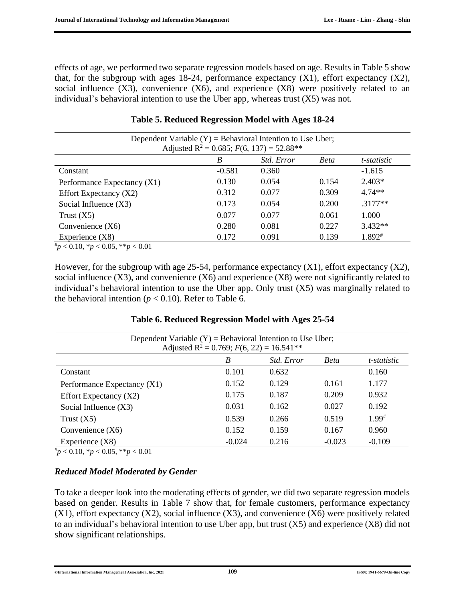effects of age, we performed two separate regression models based on age. Results in Table 5 show that, for the subgroup with ages 18-24, performance expectancy  $(X1)$ , effort expectancy  $(X2)$ , social influence  $(X3)$ , convenience  $(X6)$ , and experience  $(X8)$  were positively related to an individual's behavioral intention to use the Uber app, whereas trust (X5) was not.

| Dependent Variable $(Y)$ = Behavioral Intention to Use Uber;<br>Adjusted R <sup>2</sup> = 0.685; $F(6, 137) = 52.88**$ |          |            |       |             |  |  |
|------------------------------------------------------------------------------------------------------------------------|----------|------------|-------|-------------|--|--|
|                                                                                                                        | B        | Std. Error | Beta  | t-statistic |  |  |
| Constant                                                                                                               | $-0.581$ | 0.360      |       | $-1.615$    |  |  |
| Performance Expectancy (X1)                                                                                            | 0.130    | 0.054      | 0.154 | $2.403*$    |  |  |
| Effort Expectancy $(X2)$                                                                                               | 0.312    | 0.077      | 0.309 | $4.74**$    |  |  |
| Social Influence $(X3)$                                                                                                | 0.173    | 0.054      | 0.200 | $.3177**$   |  |  |
| Trust $(X5)$                                                                                                           | 0.077    | 0.077      | 0.061 | 1.000       |  |  |
| Convenience $(X6)$                                                                                                     | 0.280    | 0.081      | 0.227 | $3.432**$   |  |  |
| Experience $(X8)$                                                                                                      | 0.172    | 0.091      | 0.139 | 1.892#      |  |  |

#### **Table 5. Reduced Regression Model with Ages 18-24**

#*p* < 0.10, \**p* < 0.05, \*\**p* < 0.01

However, for the subgroup with age 25-54, performance expectancy (X1), effort expectancy (X2), social influence (X3), and convenience (X6) and experience (X8) were not significantly related to individual's behavioral intention to use the Uber app. Only trust (X5) was marginally related to the behavioral intention ( $p < 0.10$ ). Refer to Table 6.

| Dependent Variable $(Y)$ = Behavioral Intention to Use Uber;<br>Adjusted R <sup>2</sup> = 0.769; $F(6, 22) = 16.541**$ |          |            |             |             |  |
|------------------------------------------------------------------------------------------------------------------------|----------|------------|-------------|-------------|--|
|                                                                                                                        | B        | Std. Error | <b>Beta</b> | t-statistic |  |
| Constant                                                                                                               | 0.101    | 0.632      |             | 0.160       |  |
| Performance Expectancy (X1)                                                                                            | 0.152    | 0.129      | 0.161       | 1.177       |  |
| Effort Expectancy $(X2)$                                                                                               | 0.175    | 0.187      | 0.209       | 0.932       |  |
| Social Influence $(X3)$                                                                                                | 0.031    | 0.162      | 0.027       | 0.192       |  |
| Trust $(X5)$                                                                                                           | 0.539    | 0.266      | 0.519       | $1.99^{*}$  |  |
| Convenience $(X6)$                                                                                                     | 0.152    | 0.159      | 0.167       | 0.960       |  |
| Experience (X8)                                                                                                        | $-0.024$ | 0.216      | $-0.023$    | $-0.109$    |  |

#### **Table 6. Reduced Regression Model with Ages 25-54**

 $^{#}p$  < 0.10,  $^{*}p$  < 0.05,  $^{*}p$  < 0.01

#### *Reduced Model Moderated by Gender*

To take a deeper look into the moderating effects of gender, we did two separate regression models based on gender. Results in Table 7 show that, for female customers, performance expectancy  $(X1)$ , effort expectancy  $(X2)$ , social influence  $(X3)$ , and convenience  $(X6)$  were positively related to an individual's behavioral intention to use Uber app, but trust (X5) and experience (X8) did not show significant relationships.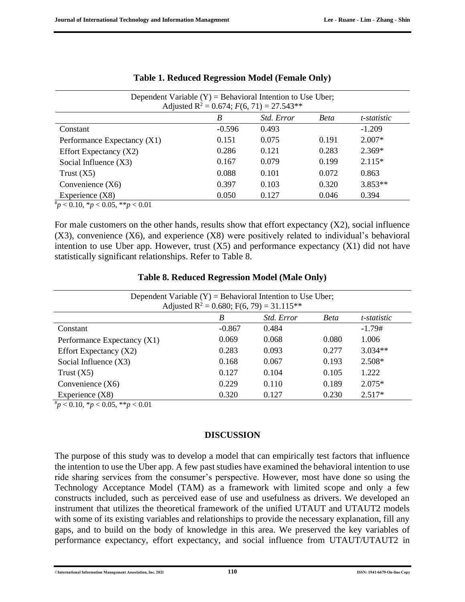| Dependent Variable $(Y)$ = Behavioral Intention to Use Uber;<br>Adjusted R <sup>2</sup> = 0.674; $F(6, 71) = 27.543**$ |          |                   |             |             |  |  |
|------------------------------------------------------------------------------------------------------------------------|----------|-------------------|-------------|-------------|--|--|
|                                                                                                                        | B        | <i>Std. Error</i> | <b>Beta</b> | t-statistic |  |  |
| Constant                                                                                                               | $-0.596$ | 0.493             |             | $-1.209$    |  |  |
| Performance Expectancy (X1)                                                                                            | 0.151    | 0.075             | 0.191       | $2.007*$    |  |  |
| Effort Expectancy $(X2)$                                                                                               | 0.286    | 0.121             | 0.283       | $2.369*$    |  |  |
| Social Influence $(X3)$                                                                                                | 0.167    | 0.079             | 0.199       | $2.115*$    |  |  |
| Trust $(X5)$                                                                                                           | 0.088    | 0.101             | 0.072       | 0.863       |  |  |
| Convenience $(X6)$                                                                                                     | 0.397    | 0.103             | 0.320       | $3.853**$   |  |  |
| Experience $(X8)$                                                                                                      | 0.050    | 0.127             | 0.046       | 0.394       |  |  |
| $*_{p}$ < 0.10, *p < 0.05, **p < 0.01                                                                                  |          |                   |             |             |  |  |

|  | <b>Table 1. Reduced Regression Model (Female Only)</b> |  |  |
|--|--------------------------------------------------------|--|--|
|  |                                                        |  |  |

For male customers on the other hands, results show that effort expectancy (X2), social influence  $(X3)$ , convenience  $(X6)$ , and experience  $(X8)$  were positively related to individual's behavioral intention to use Uber app. However, trust  $(X5)$  and performance expectancy  $(X1)$  did not have statistically significant relationships. Refer to Table 8.

| Dependent Variable $(Y)$ = Behavioral Intention to Use Uber;<br>Adjusted R <sup>2</sup> = 0.680; F(6, 79) = 31.115 <sup>**</sup> |          |            |       |             |  |  |
|----------------------------------------------------------------------------------------------------------------------------------|----------|------------|-------|-------------|--|--|
|                                                                                                                                  | B        | Std. Error | Beta  | t-statistic |  |  |
| Constant                                                                                                                         | $-0.867$ | 0.484      |       | $-1.79#$    |  |  |
| Performance Expectancy (X1)                                                                                                      | 0.069    | 0.068      | 0.080 | 1.006       |  |  |
| Effort Expectancy $(X2)$                                                                                                         | 0.283    | 0.093      | 0.277 | $3.034**$   |  |  |
| Social Influence $(X3)$                                                                                                          | 0.168    | 0.067      | 0.193 | $2.508*$    |  |  |
| Trust $(X5)$                                                                                                                     | 0.127    | 0.104      | 0.105 | 1.222       |  |  |
| Convenience $(X6)$                                                                                                               | 0.229    | 0.110      | 0.189 | $2.075*$    |  |  |
| Experience $(X8)$<br>$\#$ 0.10 $\omega$ 0.00 $\omega\omega$                                                                      | 0.320    | 0.127      | 0.230 | $2.517*$    |  |  |

#### **Table 8. Reduced Regression Model (Male Only)**

#*p* < 0.10, \**p* < 0.05, \*\**p* < 0.01

#### **DISCUSSION**

The purpose of this study was to develop a model that can empirically test factors that influence the intention to use the Uber app. A few past studies have examined the behavioral intention to use ride sharing services from the consumer's perspective. However, most have done so using the Technology Acceptance Model (TAM) as a framework with limited scope and only a few constructs included, such as perceived ease of use and usefulness as drivers. We developed an instrument that utilizes the theoretical framework of the unified UTAUT and UTAUT2 models with some of its existing variables and relationships to provide the necessary explanation, fill any gaps, and to build on the body of knowledge in this area. We preserved the key variables of performance expectancy, effort expectancy, and social influence from UTAUT/UTAUT2 in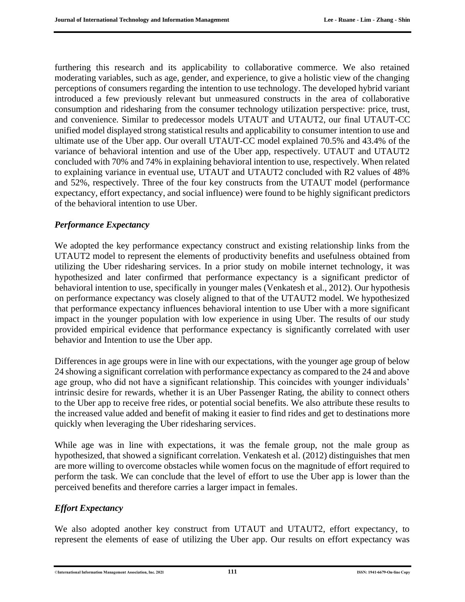furthering this research and its applicability to collaborative commerce. We also retained moderating variables, such as age, gender, and experience, to give a holistic view of the changing perceptions of consumers regarding the intention to use technology. The developed hybrid variant introduced a few previously relevant but unmeasured constructs in the area of collaborative consumption and ridesharing from the consumer technology utilization perspective: price, trust, and convenience. Similar to predecessor models UTAUT and UTAUT2, our final UTAUT-CC unified model displayed strong statistical results and applicability to consumer intention to use and ultimate use of the Uber app. Our overall UTAUT-CC model explained 70.5% and 43.4% of the variance of behavioral intention and use of the Uber app, respectively. UTAUT and UTAUT2 concluded with 70% and 74% in explaining behavioral intention to use, respectively. When related to explaining variance in eventual use, UTAUT and UTAUT2 concluded with R2 values of 48% and 52%, respectively. Three of the four key constructs from the UTAUT model (performance expectancy, effort expectancy, and social influence) were found to be highly significant predictors of the behavioral intention to use Uber.

#### *Performance Expectancy*

We adopted the key performance expectancy construct and existing relationship links from the UTAUT2 model to represent the elements of productivity benefits and usefulness obtained from utilizing the Uber ridesharing services. In a prior study on mobile internet technology, it was hypothesized and later confirmed that performance expectancy is a significant predictor of behavioral intention to use, specifically in younger males (Venkatesh et al., 2012). Our hypothesis on performance expectancy was closely aligned to that of the UTAUT2 model. We hypothesized that performance expectancy influences behavioral intention to use Uber with a more significant impact in the younger population with low experience in using Uber. The results of our study provided empirical evidence that performance expectancy is significantly correlated with user behavior and Intention to use the Uber app.

Differences in age groups were in line with our expectations, with the younger age group of below 24 showing a significant correlation with performance expectancy as compared to the 24 and above age group, who did not have a significant relationship. This coincides with younger individuals' intrinsic desire for rewards, whether it is an Uber Passenger Rating, the ability to connect others to the Uber app to receive free rides, or potential social benefits. We also attribute these results to the increased value added and benefit of making it easier to find rides and get to destinations more quickly when leveraging the Uber ridesharing services.

While age was in line with expectations, it was the female group, not the male group as hypothesized, that showed a significant correlation. Venkatesh et al. (2012) distinguishes that men are more willing to overcome obstacles while women focus on the magnitude of effort required to perform the task. We can conclude that the level of effort to use the Uber app is lower than the perceived benefits and therefore carries a larger impact in females.

#### *Effort Expectancy*

We also adopted another key construct from UTAUT and UTAUT2, effort expectancy, to represent the elements of ease of utilizing the Uber app. Our results on effort expectancy was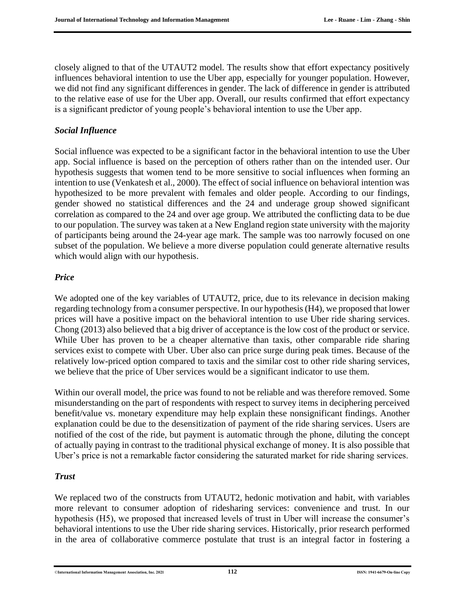closely aligned to that of the UTAUT2 model. The results show that effort expectancy positively influences behavioral intention to use the Uber app, especially for younger population. However, we did not find any significant differences in gender. The lack of difference in gender is attributed to the relative ease of use for the Uber app. Overall, our results confirmed that effort expectancy is a significant predictor of young people's behavioral intention to use the Uber app.

#### *Social Influence*

Social influence was expected to be a significant factor in the behavioral intention to use the Uber app. Social influence is based on the perception of others rather than on the intended user. Our hypothesis suggests that women tend to be more sensitive to social influences when forming an intention to use (Venkatesh et al., 2000). The effect of social influence on behavioral intention was hypothesized to be more prevalent with females and older people. According to our findings, gender showed no statistical differences and the 24 and underage group showed significant correlation as compared to the 24 and over age group. We attributed the conflicting data to be due to our population. The survey was taken at a New England region state university with the majority of participants being around the 24-year age mark. The sample was too narrowly focused on one subset of the population. We believe a more diverse population could generate alternative results which would align with our hypothesis.

#### *Price*

We adopted one of the key variables of UTAUT2, price, due to its relevance in decision making regarding technology from a consumer perspective. In our hypothesis (H4), we proposed that lower prices will have a positive impact on the behavioral intention to use Uber ride sharing services. Chong (2013) also believed that a big driver of acceptance is the low cost of the product or service. While Uber has proven to be a cheaper alternative than taxis, other comparable ride sharing services exist to compete with Uber. Uber also can price surge during peak times. Because of the relatively low-priced option compared to taxis and the similar cost to other ride sharing services, we believe that the price of Uber services would be a significant indicator to use them.

Within our overall model, the price was found to not be reliable and was therefore removed. Some misunderstanding on the part of respondents with respect to survey items in deciphering perceived benefit/value vs. monetary expenditure may help explain these nonsignificant findings. Another explanation could be due to the desensitization of payment of the ride sharing services. Users are notified of the cost of the ride, but payment is automatic through the phone, diluting the concept of actually paying in contrast to the traditional physical exchange of money. It is also possible that Uber's price is not a remarkable factor considering the saturated market for ride sharing services.

#### *Trust*

We replaced two of the constructs from UTAUT2, hedonic motivation and habit, with variables more relevant to consumer adoption of ridesharing services: convenience and trust. In our hypothesis (H5), we proposed that increased levels of trust in Uber will increase the consumer's behavioral intentions to use the Uber ride sharing services. Historically, prior research performed in the area of collaborative commerce postulate that trust is an integral factor in fostering a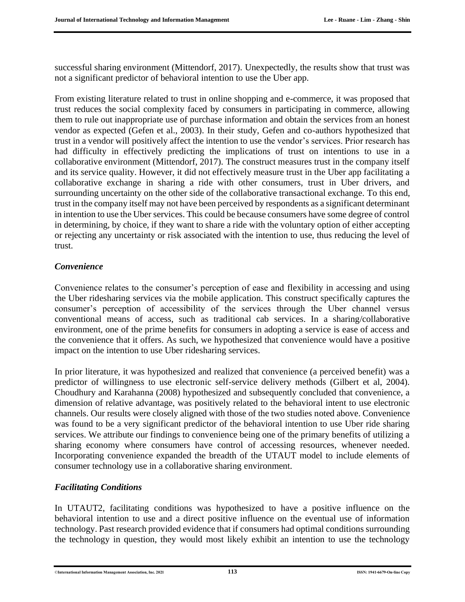successful sharing environment (Mittendorf, 2017). Unexpectedly, the results show that trust was not a significant predictor of behavioral intention to use the Uber app.

From existing literature related to trust in online shopping and e-commerce, it was proposed that trust reduces the social complexity faced by consumers in participating in commerce, allowing them to rule out inappropriate use of purchase information and obtain the services from an honest vendor as expected (Gefen et al., 2003). In their study, Gefen and co-authors hypothesized that trust in a vendor will positively affect the intention to use the vendor's services. Prior research has had difficulty in effectively predicting the implications of trust on intentions to use in a collaborative environment (Mittendorf, 2017). The construct measures trust in the company itself and its service quality. However, it did not effectively measure trust in the Uber app facilitating a collaborative exchange in sharing a ride with other consumers, trust in Uber drivers, and surrounding uncertainty on the other side of the collaborative transactional exchange. To this end, trust in the company itself may not have been perceived by respondents as a significant determinant in intention to use the Uber services. This could be because consumers have some degree of control in determining, by choice, if they want to share a ride with the voluntary option of either accepting or rejecting any uncertainty or risk associated with the intention to use, thus reducing the level of trust.

#### *Convenience*

Convenience relates to the consumer's perception of ease and flexibility in accessing and using the Uber ridesharing services via the mobile application. This construct specifically captures the consumer's perception of accessibility of the services through the Uber channel versus conventional means of access, such as traditional cab services. In a sharing/collaborative environment, one of the prime benefits for consumers in adopting a service is ease of access and the convenience that it offers. As such, we hypothesized that convenience would have a positive impact on the intention to use Uber ridesharing services.

In prior literature, it was hypothesized and realized that convenience (a perceived benefit) was a predictor of willingness to use electronic self-service delivery methods (Gilbert et al, 2004). Choudhury and Karahanna (2008) hypothesized and subsequently concluded that convenience, a dimension of relative advantage, was positively related to the behavioral intent to use electronic channels. Our results were closely aligned with those of the two studies noted above. Convenience was found to be a very significant predictor of the behavioral intention to use Uber ride sharing services. We attribute our findings to convenience being one of the primary benefits of utilizing a sharing economy where consumers have control of accessing resources, whenever needed. Incorporating convenience expanded the breadth of the UTAUT model to include elements of consumer technology use in a collaborative sharing environment.

#### *Facilitating Conditions*

In UTAUT2, facilitating conditions was hypothesized to have a positive influence on the behavioral intention to use and a direct positive influence on the eventual use of information technology. Past research provided evidence that if consumers had optimal conditions surrounding the technology in question, they would most likely exhibit an intention to use the technology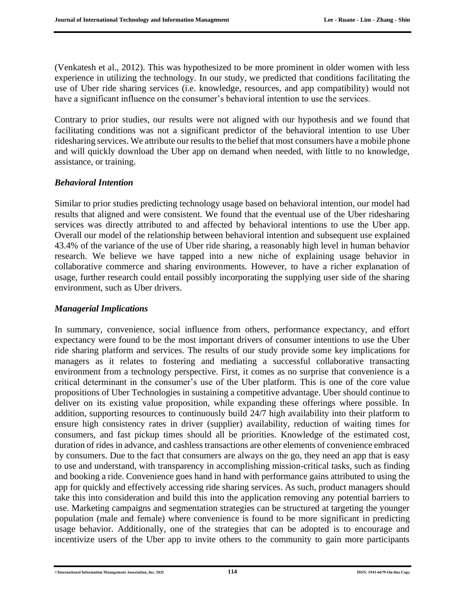(Venkatesh et al., 2012). This was hypothesized to be more prominent in older women with less experience in utilizing the technology. In our study, we predicted that conditions facilitating the use of Uber ride sharing services (i.e. knowledge, resources, and app compatibility) would not have a significant influence on the consumer's behavioral intention to use the services.

Contrary to prior studies, our results were not aligned with our hypothesis and we found that facilitating conditions was not a significant predictor of the behavioral intention to use Uber ridesharing services. We attribute our results to the belief that most consumers have a mobile phone and will quickly download the Uber app on demand when needed, with little to no knowledge, assistance, or training.

#### *Behavioral Intention*

Similar to prior studies predicting technology usage based on behavioral intention, our model had results that aligned and were consistent. We found that the eventual use of the Uber ridesharing services was directly attributed to and affected by behavioral intentions to use the Uber app. Overall our model of the relationship between behavioral intention and subsequent use explained 43.4% of the variance of the use of Uber ride sharing, a reasonably high level in human behavior research. We believe we have tapped into a new niche of explaining usage behavior in collaborative commerce and sharing environments. However, to have a richer explanation of usage, further research could entail possibly incorporating the supplying user side of the sharing environment, such as Uber drivers.

#### *Managerial Implications*

In summary, convenience, social influence from others, performance expectancy, and effort expectancy were found to be the most important drivers of consumer intentions to use the Uber ride sharing platform and services. The results of our study provide some key implications for managers as it relates to fostering and mediating a successful collaborative transacting environment from a technology perspective. First, it comes as no surprise that convenience is a critical determinant in the consumer's use of the Uber platform. This is one of the core value propositions of Uber Technologies in sustaining a competitive advantage. Uber should continue to deliver on its existing value proposition, while expanding these offerings where possible. In addition, supporting resources to continuously build 24/7 high availability into their platform to ensure high consistency rates in driver (supplier) availability, reduction of waiting times for consumers, and fast pickup times should all be priorities. Knowledge of the estimated cost, duration of rides in advance, and cashless transactions are other elements of convenience embraced by consumers. Due to the fact that consumers are always on the go, they need an app that is easy to use and understand, with transparency in accomplishing mission-critical tasks, such as finding and booking a ride. Convenience goes hand in hand with performance gains attributed to using the app for quickly and effectively accessing ride sharing services. As such, product managers should take this into consideration and build this into the application removing any potential barriers to use. Marketing campaigns and segmentation strategies can be structured at targeting the younger population (male and female) where convenience is found to be more significant in predicting usage behavior. Additionally, one of the strategies that can be adopted is to encourage and incentivize users of the Uber app to invite others to the community to gain more participants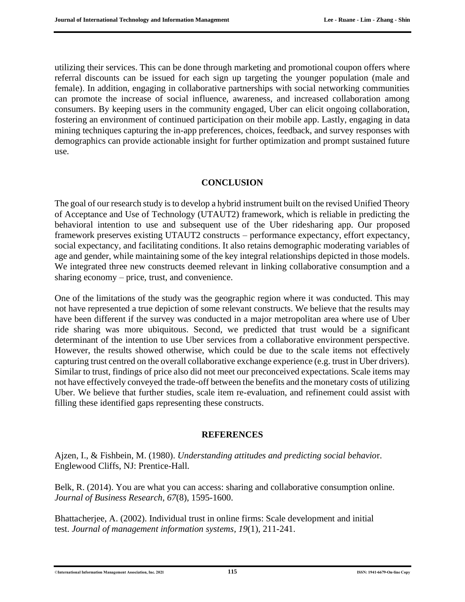utilizing their services. This can be done through marketing and promotional coupon offers where referral discounts can be issued for each sign up targeting the younger population (male and female). In addition, engaging in collaborative partnerships with social networking communities can promote the increase of social influence, awareness, and increased collaboration among consumers. By keeping users in the community engaged, Uber can elicit ongoing collaboration, fostering an environment of continued participation on their mobile app. Lastly, engaging in data mining techniques capturing the in-app preferences, choices, feedback, and survey responses with demographics can provide actionable insight for further optimization and prompt sustained future use.

#### **CONCLUSION**

The goal of our research study is to develop a hybrid instrument built on the revised Unified Theory of Acceptance and Use of Technology (UTAUT2) framework, which is reliable in predicting the behavioral intention to use and subsequent use of the Uber ridesharing app. Our proposed framework preserves existing UTAUT2 constructs – performance expectancy, effort expectancy, social expectancy, and facilitating conditions. It also retains demographic moderating variables of age and gender, while maintaining some of the key integral relationships depicted in those models. We integrated three new constructs deemed relevant in linking collaborative consumption and a sharing economy – price, trust, and convenience.

One of the limitations of the study was the geographic region where it was conducted. This may not have represented a true depiction of some relevant constructs. We believe that the results may have been different if the survey was conducted in a major metropolitan area where use of Uber ride sharing was more ubiquitous. Second, we predicted that trust would be a significant determinant of the intention to use Uber services from a collaborative environment perspective. However, the results showed otherwise, which could be due to the scale items not effectively capturing trust centred on the overall collaborative exchange experience (e.g. trust in Uber drivers). Similar to trust, findings of price also did not meet our preconceived expectations. Scale items may not have effectively conveyed the trade-off between the benefits and the monetary costs of utilizing Uber. We believe that further studies, scale item re-evaluation, and refinement could assist with filling these identified gaps representing these constructs.

#### **REFERENCES**

Ajzen, I., & Fishbein, M. (1980). *Understanding attitudes and predicting social behavio*r. Englewood Cliffs, NJ: Prentice-Hall.

Belk, R. (2014). You are what you can access: sharing and collaborative consumption online. *Journal of Business Research*, *67*(8), 1595-1600.

Bhattacherjee, A. (2002). Individual trust in online firms: Scale development and initial test. *Journal of management information systems, 19*(1), 211-241.

#### ©**International Information Management Association, Inc. 2021 115 ISSN: 1941-6679-On-line Copy**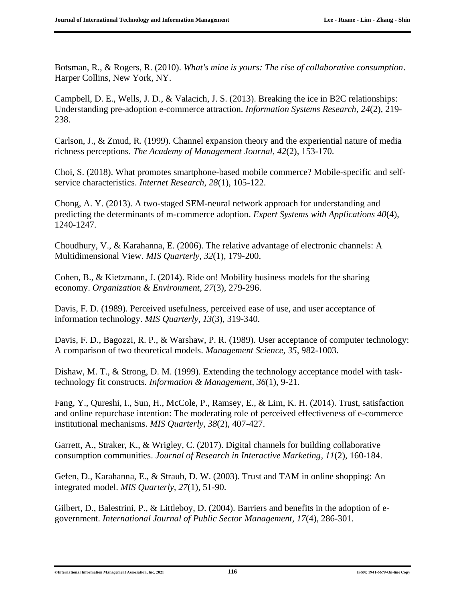Botsman, R., & Rogers, R. (2010). *What's mine is yours: The rise of collaborative consumption*. Harper Collins, New York, NY.

Campbell, D. E., Wells, J. D., & Valacich, J. S. (2013). Breaking the ice in B2C relationships: Understanding pre-adoption e-commerce attraction. *Information Systems Research, 24*(2), 219- 238.

Carlson, J., & Zmud, R. (1999). Channel expansion theory and the experiential nature of media richness perceptions. *The Academy of Management Journal, 42*(2), 153-170.

Choi, S. (2018). What promotes smartphone-based mobile commerce? Mobile-specific and selfservice characteristics. *Internet Research, 28*(1), 105-122.

Chong, A. Y. (2013). A two-staged SEM-neural network approach for understanding and predicting the determinants of m-commerce adoption. *Expert Systems with Applications 40*(4), 1240-1247.

Choudhury, V., & Karahanna, E. (2006). The relative advantage of electronic channels: A Multidimensional View. *MIS Quarterly, 32*(1), 179-200.

Cohen, B., & Kietzmann, J. (2014). Ride on! Mobility business models for the sharing economy. *Organization & Environment, 27*(3), 279-296.

Davis, F. D. (1989). Perceived usefulness, perceived ease of use, and user acceptance of information technology. *MIS Quarterly, 13*(3), 319-340.

Davis, F. D., Bagozzi, R. P., & Warshaw, P. R. (1989). User acceptance of computer technology: A comparison of two theoretical models. *Management Science, 35,* 982-1003.

Dishaw, M. T., & Strong, D. M. (1999). Extending the technology acceptance model with tasktechnology fit constructs. *Information & Management, 36*(1), 9-21.

Fang, Y., Qureshi, I., Sun, H., [McCole,](https://pure.qub.ac.uk/portal/en/persons/patrick-mccole(746b8dba-7bc2-4098-9a6a-6f9c15cd4995).html) P., Ramsey, E., & Lim, K. H. (2014). [Trust, satisfaction](https://pure.qub.ac.uk/portal/en/publications/trust-satisfaction-and-online-repurchase-intention-the-moderating-role-of-perceived-effectiveness-of-ecommerce-institutional-mechanisms(f10ad6ca-fd4b-42f4-8aea-0136e06f7aee).html)  [and online repurchase intention: The moderating role of perceived effectiveness of e-commerce](https://pure.qub.ac.uk/portal/en/publications/trust-satisfaction-and-online-repurchase-intention-the-moderating-role-of-perceived-effectiveness-of-ecommerce-institutional-mechanisms(f10ad6ca-fd4b-42f4-8aea-0136e06f7aee).html)  [institutional mechanisms.](https://pure.qub.ac.uk/portal/en/publications/trust-satisfaction-and-online-repurchase-intention-the-moderating-role-of-perceived-effectiveness-of-ecommerce-institutional-mechanisms(f10ad6ca-fd4b-42f4-8aea-0136e06f7aee).html) *[MIS Quarterly,](https://pure.qub.ac.uk/portal/en/journals/mis-quarterly(1745e27f-a619-47d4-bbf3-8af64d5230ce).html) 38*(2), 407-427.

Garrett, A., Straker, K., & Wrigley, C. (2017). Digital channels for building collaborative consumption communities. *Journal of Research in Interactive Marketing, 11*(2), 160-184.

Gefen, D., Karahanna, E., & Straub, D. W. (2003). Trust and TAM in online shopping: An integrated model. *MIS Quarterly, 27*(1), 51-90.

Gilbert, D., Balestrini, P., & Littleboy, D. (2004). Barriers and benefits in the adoption of egovernment. *International Journal of Public Sector Management, 17*(4), 286-301.

©**International Information Management Association, Inc. 2021 116 ISSN: 1941-6679-On-line Copy**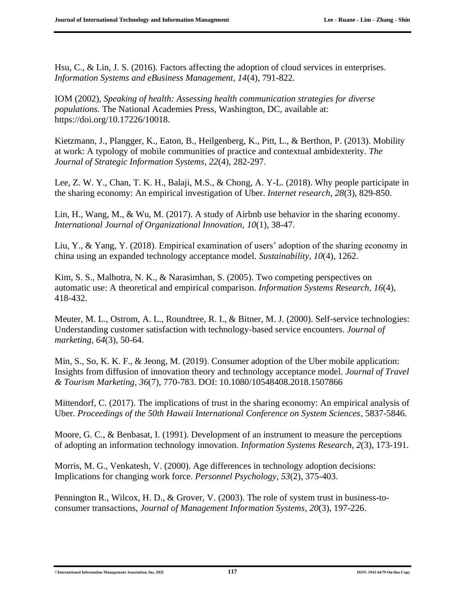Hsu, C., & Lin, J. S. (2016). Factors affecting the adoption of cloud services in enterprises. *Information Systems and eBusiness Management, 14*(4), 791-822.

IOM (2002), *Speaking of health: Assessing health communication strategies for diverse populations.* The National Academies Press, Washington, DC, available at: https://doi.org/10.17226/10018.

Kietzmann, J., Plangger, K., Eaton, B., Heilgenberg, K., Pitt, L., & Berthon, P. (2013). Mobility at work: A typology of mobile communities of practice and contextual ambidexterity. *The Journal of Strategic Information Systems, 22*(4), 282-297.

Lee, Z. W. Y., Chan, T. K. H., Balaji, M.S., & Chong, A. Y-L. (2018). Why people participate in the sharing economy: An empirical investigation of Uber. *Internet research, 28*(3), 829-850.

Lin, H., Wang, M., & Wu, M. (2017). A study of Airbnb use behavior in the sharing economy. *International Journal of Organizational Innovation, 10*(1), 38-47.

Liu, Y., & Yang, Y. (2018). Empirical examination of users' adoption of the sharing economy in china using an expanded technology acceptance model. *Sustainability, 10*(4), 1262.

Kim, S. S., Malhotra, N. K., & Narasimhan, S. (2005). Two competing perspectives on automatic use: A theoretical and empirical comparison. *Information Systems Research, 16*(4), 418-432.

Meuter, M. L., Ostrom, A. L., Roundtree, R. I., & Bitner, M. J. (2000). Self-service technologies: Understanding customer satisfaction with technology-based service encounters. *Journal of marketing, 64*(3), 50-64.

Min, S., So, K. K. F., & Jeong, M. (2019). Consumer adoption of the Uber mobile application: Insights from diffusion of innovation theory and technology acceptance model. *Journal of Travel & Tourism Marketing, 36*(7), 770-783. DOI: 10.1080/10548408.2018.1507866

Mittendorf, C. (2017). The implications of trust in the sharing economy: An empirical analysis of Uber. *Proceedings of the 50th Hawaii International Conference on System Sciences*, 5837-5846.

Moore, G. C., & Benbasat, I. (1991). Development of an instrument to measure the perceptions of adopting an information technology innovation. *Information Systems Research, 2*(3), 173-191.

Morris, M. G., Venkatesh, V. (2000). Age differences in technology adoption decisions: Implications for changing work force. *Personnel Psychology, 53*(2), 375-403.

Pennington R., Wilcox, H. D., & Grover, V. (2003). The role of system trust in business-toconsumer transactions, *Journal of Management Information Systems, 20*(3), 197-226.

©**International Information Management Association, Inc. 2021 117 ISSN: 1941-6679-On-line Copy**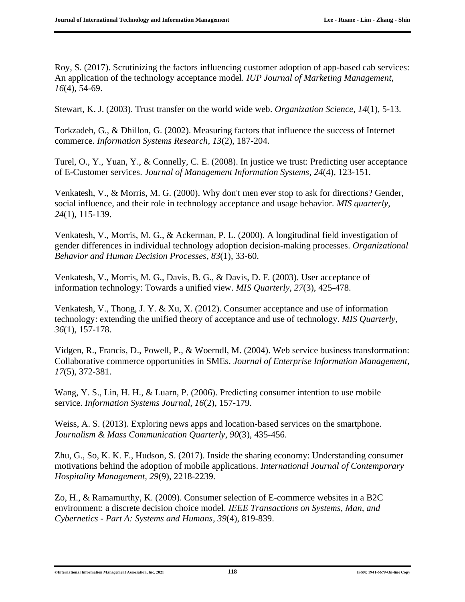Roy, S. (2017). Scrutinizing the factors influencing customer adoption of app-based cab services: An application of the technology acceptance model. *IUP Journal of Marketing Management, 16*(4), 54-69.

Stewart, K. J. (2003). Trust transfer on the world wide web. *Organization Science, 14*(1), 5-13.

Torkzadeh, G., & Dhillon, G. (2002). Measuring factors that influence the success of Internet commerce. *Information Systems Research, 13*(2), 187-204.

Turel, O., Y., Yuan, Y., & Connelly, C. E. (2008). In justice we trust: Predicting user acceptance of E-Customer services. *Journal of Management Information Systems, 24*(4), 123-151.

Venkatesh, V., & Morris, M. G. (2000). Why don't men ever stop to ask for directions? Gender, social influence, and their role in technology acceptance and usage behavior. *MIS quarterly, 24*(1), 115-139.

Venkatesh, V., Morris, M. G., & Ackerman, P. L. (2000). A longitudinal field investigation of gender differences in individual technology adoption decision-making processes. *Organizational Behavior and Human Decision Processes, 83*(1), 33-60.

Venkatesh, V., Morris, M. G., Davis, B. G., & Davis, D. F. (2003). User acceptance of information technology: Towards a unified view. *MIS Quarterly, 27*(3), 425-478.

Venkatesh, V., Thong, J. Y. & Xu, X. (2012). Consumer acceptance and use of information technology: extending the unified theory of acceptance and use of technology. *MIS Quarterly, 36*(1), 157-178.

Vidgen, R., Francis, D., Powell, P., & Woerndl, M. (2004). Web service business transformation: Collaborative commerce opportunities in SMEs. *Journal of Enterprise Information Management, 17*(5), 372-381.

Wang, Y. S., Lin, H. H., & Luarn, P. (2006). Predicting consumer intention to use mobile service. *Information Systems Journal, 16*(2), 157-179.

Weiss, A. S. (2013). Exploring news apps and location-based services on the smartphone. *Journalism & Mass Communication Quarterly, 90*(3), 435-456.

Zhu, G., So, K. K. F., Hudson, S. (2017). Inside the sharing economy: Understanding consumer motivations behind the adoption of mobile applications. *International Journal of Contemporary Hospitality Management, 29*(9), 2218-2239.

Zo, H., & Ramamurthy, K. (2009). Consumer selection of E-commerce websites in a B2C environment: a discrete decision choice model. *IEEE Transactions on Systems, Man, and Cybernetics - Part A: Systems and Humans, 39*(4), 819-839.

#### ©**International Information Management Association, Inc. 2021 118 ISSN: 1941-6679-On-line Copy**